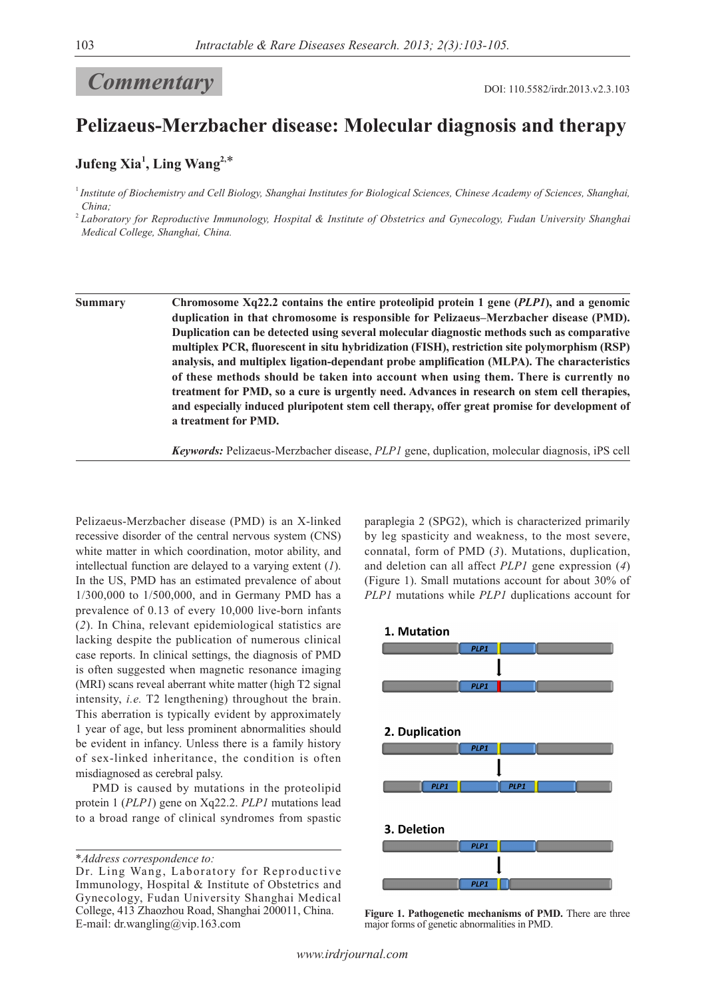## **DOI: 110.5582/irdr.2013.v2.3.103**

## **Pelizaeus-Merzbacher disease: Molecular diagnosis and therapy**

## **Jufeng Xia<sup>1</sup> , Ling Wang2,**\*

<sup>1</sup>*Institute of Biochemistry and Cell Biology, Shanghai Institutes for Biological Sciences, Chinese Academy of Sciences, Shanghai, China;*

<sup>2</sup>*Laboratory for Reproductive Immunology, Hospital & Institute of Obstetrics and Gynecology, Fudan University Shanghai Medical College, Shanghai, China.*

**Summary Chromosome Xq22.2 contains the entire proteolipid protein 1 gene (***PLP1***), and a genomic duplication in that chromosome is responsible for Pelizaeus–Merzbacher disease (PMD). Duplication can be detected using several molecular diagnostic methods such as comparative multiplex PCR, fluorescent in situ hybridization (FISH), restriction site polymorphism (RSP) analysis, and multiplex ligation-dependant probe amplification (MLPA). The characteristics of these methods should be taken into account when using them. There is currently no treatment for PMD, so a cure is urgently need. Advances in research on stem cell therapies, and especially induced pluripotent stem cell therapy, offer great promise for development of a treatment for PMD.**

*Keywords:* Pelizaeus-Merzbacher disease, *PLP1* gene, duplication, molecular diagnosis, iPS cell

Pelizaeus-Merzbacher disease (PMD) is an X-linked recessive disorder of the central nervous system (CNS) white matter in which coordination, motor ability, and intellectual function are delayed to a varying extent (*1*). In the US, PMD has an estimated prevalence of about 1/300,000 to 1/500,000, and in Germany PMD has a prevalence of 0.13 of every 10,000 live-born infants (*2*). In China, relevant epidemiological statistics are lacking despite the publication of numerous clinical case reports. In clinical settings, the diagnosis of PMD is often suggested when magnetic resonance imaging (MRI) scans reveal aberrant white matter (high T2 signal intensity, *i.e.* T2 lengthening) throughout the brain. This aberration is typically evident by approximately 1 year of age, but less prominent abnormalities should be evident in infancy. Unless there is a family history of sex-linked inheritance, the condition is often misdiagnosed as cerebral palsy.

PMD is caused by mutations in the proteolipid protein 1 (*PLP1*) gene on Xq22.2. *PLP1* mutations lead to a broad range of clinical syndromes from spastic

\**Address correspondence to:*

paraplegia 2 (SPG2), which is characterized primarily by leg spasticity and weakness, to the most severe, connatal, form of PMD (*3*). Mutations, duplication, and deletion can all affect *PLP1* gene expression (*4*) (Figure 1). Small mutations account for about 30% of *PLP1* mutations while *PLP1* duplications account for



**Figure 1. Pathogenetic mechanisms of PMD.** There are three major forms of genetic abnormalities in PMD.

Dr. Ling Wang, Laboratory for Reproductive Immunology, Hospital & Institute of Obstetrics and Gynecology, Fudan University Shanghai Medical College, 413 Zhaozhou Road, Shanghai 200011, China. E-mail: dr.wangling@vip.163.com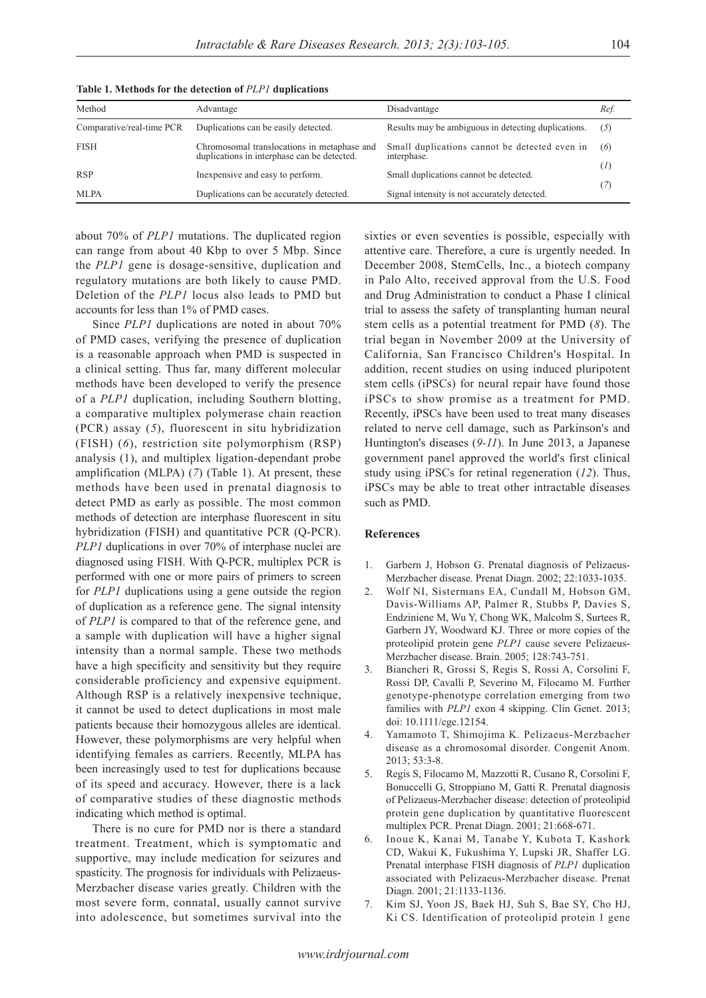| Method                    | Advantage                                                                                  | Disadvantage                                                 | Ref. |
|---------------------------|--------------------------------------------------------------------------------------------|--------------------------------------------------------------|------|
| Comparative/real-time PCR | Duplications can be easily detected.                                                       | Results may be ambiguous in detecting duplications.          | (5)  |
| <b>FISH</b>               | Chromosomal translocations in metaphase and<br>duplications in interphase can be detected. | Small duplications cannot be detected even in<br>interphase. | (6)  |
| <b>RSP</b>                | In expensive and easy to perform.                                                          | Small duplications cannot be detected.                       | (I)  |
| <b>MLPA</b>               | Duplications can be accurately detected.                                                   | Signal intensity is not accurately detected.                 | (7)  |

**Table 1. Methods for the detection of** *PLP1* **duplications**

about 70% of *PLP1* mutations. The duplicated region can range from about 40 Kbp to over 5 Mbp. Since the *PLP1* gene is dosage-sensitive, duplication and regulatory mutations are both likely to cause PMD. Deletion of the *PLP1* locus also leads to PMD but accounts for less than 1% of PMD cases.

Since *PLP1* duplications are noted in about 70% of PMD cases, verifying the presence of duplication is a reasonable approach when PMD is suspected in a clinical setting. Thus far, many different molecular methods have been developed to verify the presence of a *PLP1* duplication, including Southern blotting, a comparative multiplex polymerase chain reaction (PCR) assay (*5*), fluorescent in situ hybridization (FISH) (*6*), restriction site polymorphism (RSP) analysis (1), and multiplex ligation-dependant probe amplification (MLPA) (*7*) (Table 1). At present, these methods have been used in prenatal diagnosis to detect PMD as early as possible. The most common methods of detection are interphase fluorescent in situ hybridization (FISH) and quantitative PCR (Q-PCR). *PLP1* duplications in over 70% of interphase nuclei are diagnosed using FISH. With Q-PCR, multiplex PCR is performed with one or more pairs of primers to screen for *PLP1* duplications using a gene outside the region of duplication as a reference gene. The signal intensity of *PLP1* is compared to that of the reference gene, and a sample with duplication will have a higher signal intensity than a normal sample. These two methods have a high specificity and sensitivity but they require considerable proficiency and expensive equipment. Although RSP is a relatively inexpensive technique, it cannot be used to detect duplications in most male patients because their homozygous alleles are identical. However, these polymorphisms are very helpful when identifying females as carriers. Recently, MLPA has been increasingly used to test for duplications because of its speed and accuracy. However, there is a lack of comparative studies of these diagnostic methods indicating which method is optimal.

There is no cure for PMD nor is there a standard treatment. Treatment, which is symptomatic and supportive, may include medication for seizures and spasticity. The prognosis for individuals with Pelizaeus-Merzbacher disease varies greatly. Children with the most severe form, connatal, usually cannot survive into adolescence, but sometimes survival into the

sixties or even seventies is possible, especially with attentive care. Therefore, a cure is urgently needed. In December 2008, StemCells, Inc., a biotech company in Palo Alto, received approval from the U.S. Food and Drug Administration to conduct a Phase I clinical trial to assess the safety of transplanting human neural stem cells as a potential treatment for PMD (*8*). The trial began in November 2009 at the University of California, San Francisco Children's Hospital. In addition, recent studies on using induced pluripotent stem cells (iPSCs) for neural repair have found those iPSCs to show promise as a treatment for PMD. Recently, iPSCs have been used to treat many diseases related to nerve cell damage, such as Parkinson's and Huntington's diseases (*9-11*). In June 2013, a Japanese government panel approved the world's first clinical study using iPSCs for retinal regeneration (*12*). Thus, iPSCs may be able to treat other intractable diseases such as PMD.

## **References**

- 1. Garbern J, Hobson G. Prenatal diagnosis of Pelizaeus-Merzbacher disease. Prenat Diagn. 2002; 22:1033-1035.
- 2. Wolf NI, Sistermans EA, Cundall M, Hobson GM, Davis-Williams AP, Palmer R, Stubbs P, Davies S, Endziniene M, Wu Y, Chong WK, Malcolm S, Surtees R, Garbern JY, Woodward KJ. Three or more copies of the proteolipid protein gene *PLP1* cause severe Pelizaeus-Merzbacher disease. Brain. 2005; 128:743-751.
- 3. Biancheri R, Grossi S, Regis S, Rossi A, Corsolini F, Rossi DP, Cavalli P, Severino M, Filocamo M. Further genotype-phenotype correlation emerging from two families with *PLP1* exon 4 skipping. Clin Genet. 2013; doi: 10.1111/cge.12154.
- 4. Yamamoto T, Shimojima K. Pelizaeus-Merzbacher disease as a chromosomal disorder. Congenit Anom. 2013; 53:3-8.
- 5. Regis S, Filocamo M, Mazzotti R, Cusano R, Corsolini F, Bonuccelli G, Stroppiano M, Gatti R. Prenatal diagnosis of Pelizaeus-Merzbacher disease: detection of proteolipid protein gene duplication by quantitative fluorescent multiplex PCR. Prenat Diagn. 2001; 21:668-671.
- 6. Inoue K, Kanai M, Tanabe Y, Kubota T, Kashork CD, Wakui K, Fukushima Y, Lupski JR, Shaffer LG. Prenatal interphase FISH diagnosis of *PLP1* duplication associated with Pelizaeus-Merzbacher disease. Prenat Diagn. 2001; 21:1133-1136.
- 7. Kim SJ, Yoon JS, Baek HJ, Suh S, Bae SY, Cho HJ, Ki CS. Identification of proteolipid protein 1 gene